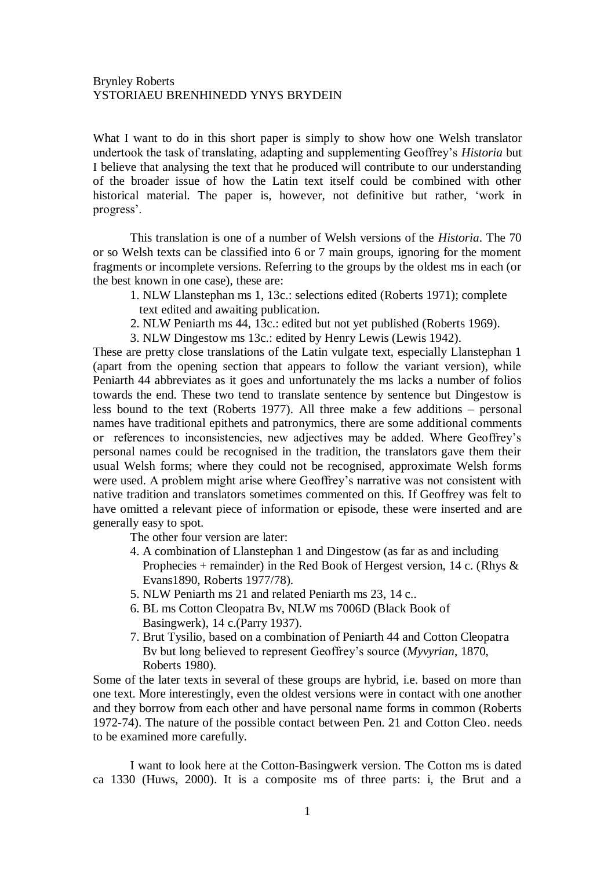What I want to do in this short paper is simply to show how one Welsh translator undertook the task of translating, adapting and supplementing Geoffrey"s *Historia* but I believe that analysing the text that he produced will contribute to our understanding of the broader issue of how the Latin text itself could be combined with other historical material. The paper is, however, not definitive but rather, "work in progress".

This translation is one of a number of Welsh versions of the *Historia*. The 70 or so Welsh texts can be classified into 6 or 7 main groups, ignoring for the moment fragments or incomplete versions. Referring to the groups by the oldest ms in each (or the best known in one case), these are:

- 1. NLW Llanstephan ms 1, 13c.: selections edited (Roberts 1971); complete text edited and awaiting publication.
- 2. NLW Peniarth ms 44, 13c.: edited but not yet published (Roberts 1969).
- 3. NLW Dingestow ms 13c.: edited by Henry Lewis (Lewis 1942).

These are pretty close translations of the Latin vulgate text, especially Llanstephan 1 (apart from the opening section that appears to follow the variant version), while Peniarth 44 abbreviates as it goes and unfortunately the ms lacks a number of folios towards the end. These two tend to translate sentence by sentence but Dingestow is less bound to the text (Roberts 1977). All three make a few additions – personal names have traditional epithets and patronymics, there are some additional comments or references to inconsistencies, new adjectives may be added. Where Geoffrey"s personal names could be recognised in the tradition, the translators gave them their usual Welsh forms; where they could not be recognised, approximate Welsh forms were used. A problem might arise where Geoffrey's narrative was not consistent with native tradition and translators sometimes commented on this. If Geoffrey was felt to have omitted a relevant piece of information or episode, these were inserted and are generally easy to spot.

The other four version are later:

- 4. A combination of Llanstephan 1 and Dingestow (as far as and including Prophecies + remainder) in the Red Book of Hergest version, 14 c. (Rhys  $\&$ Evans1890, Roberts 1977/78).
- 5. NLW Peniarth ms 21 and related Peniarth ms 23, 14 c..
- 6. BL ms Cotton Cleopatra Bv, NLW ms 7006D (Black Book of Basingwerk), 14 c.(Parry 1937).
- 7. Brut Tysilio, based on a combination of Peniarth 44 and Cotton Cleopatra Bv but long believed to represent Geoffrey"s source (*Myvyrian*, 1870, Roberts 1980).

Some of the later texts in several of these groups are hybrid, i.e. based on more than one text. More interestingly, even the oldest versions were in contact with one another and they borrow from each other and have personal name forms in common (Roberts 1972-74). The nature of the possible contact between Pen. 21 and Cotton Cleo. needs to be examined more carefully.

I want to look here at the Cotton-Basingwerk version. The Cotton ms is dated ca 1330 (Huws, 2000). It is a composite ms of three parts: i, the Brut and a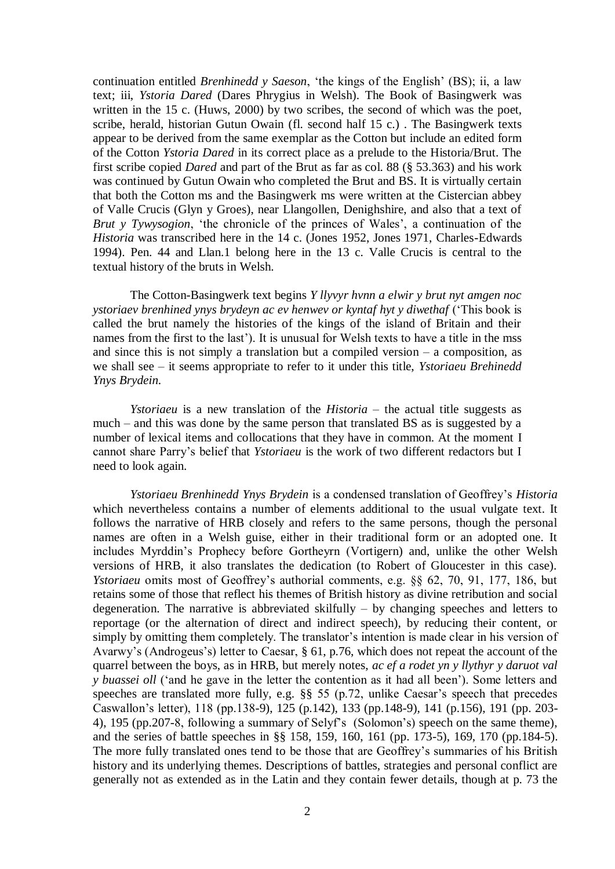continuation entitled *Brenhinedd y Saeson*, "the kings of the English" (BS); ii, a law text; iii, *Ystoria Dared* (Dares Phrygius in Welsh). The Book of Basingwerk was written in the 15 c. (Huws, 2000) by two scribes, the second of which was the poet, scribe, herald, historian Gutun Owain (fl. second half 15 c.) . The Basingwerk texts appear to be derived from the same exemplar as the Cotton but include an edited form of the Cotton *Ystoria Dared* in its correct place as a prelude to the Historia/Brut. The first scribe copied *Dared* and part of the Brut as far as col. 88 (§ 53.363) and his work was continued by Gutun Owain who completed the Brut and BS. It is virtually certain that both the Cotton ms and the Basingwerk ms were written at the Cistercian abbey of Valle Crucis (Glyn y Groes), near Llangollen, Denighshire, and also that a text of *Brut y Tywysogion*, 'the chronicle of the princes of Wales', a continuation of the *Historia* was transcribed here in the 14 c. (Jones 1952, Jones 1971, Charles-Edwards 1994). Pen. 44 and Llan.1 belong here in the 13 c. Valle Crucis is central to the textual history of the bruts in Welsh.

The Cotton-Basingwerk text begins *Y llyvyr hvnn a elwir y brut nyt amgen noc ystoriaev brenhined ynys brydeyn ac ev henwev or kyntaf hyt y diwethaf* ("This book is called the brut namely the histories of the kings of the island of Britain and their names from the first to the last'). It is unusual for Welsh texts to have a title in the mss and since this is not simply a translation but a compiled version – a composition, as we shall see – it seems appropriate to refer to it under this title, *Ystoriaeu Brehinedd Ynys Brydein.*

*Ystoriaeu* is a new translation of the *Historia* – the actual title suggests as much – and this was done by the same person that translated BS as is suggested by a number of lexical items and collocations that they have in common. At the moment I cannot share Parry"s belief that *Ystoriaeu* is the work of two different redactors but I need to look again.

*Ystoriaeu Brenhinedd Ynys Brydein* is a condensed translation of Geoffrey"s *Historia*  which nevertheless contains a number of elements additional to the usual vulgate text. It follows the narrative of HRB closely and refers to the same persons, though the personal names are often in a Welsh guise, either in their traditional form or an adopted one. It includes Myrddin"s Prophecy before Gortheyrn (Vortigern) and, unlike the other Welsh versions of HRB, it also translates the dedication (to Robert of Gloucester in this case). *Ystoriaeu* omits most of Geoffrey's authorial comments, e.g. §§ 62, 70, 91, 177, 186, but retains some of those that reflect his themes of British history as divine retribution and social degeneration. The narrative is abbreviated skilfully – by changing speeches and letters to reportage (or the alternation of direct and indirect speech), by reducing their content, or simply by omitting them completely. The translator's intention is made clear in his version of Avarwy"s (Androgeus"s) letter to Caesar, § 61, p.76, which does not repeat the account of the quarrel between the boys, as in HRB, but merely notes, *ac ef a rodet yn y llythyr y daruot val y buassei oll* ("and he gave in the letter the contention as it had all been"). Some letters and speeches are translated more fully, e.g. §§ 55 (p.72, unlike Caesar's speech that precedes Caswallon"s letter), 118 (pp.138-9), 125 (p.142), 133 (pp.148-9), 141 (p.156), 191 (pp. 203- 4), 195 (pp.207-8, following a summary of Selyf"s (Solomon"s) speech on the same theme), and the series of battle speeches in §§ 158, 159, 160, 161 (pp. 173-5), 169, 170 (pp.184-5). The more fully translated ones tend to be those that are Geoffrey"s summaries of his British history and its underlying themes. Descriptions of battles, strategies and personal conflict are generally not as extended as in the Latin and they contain fewer details, though at p. 73 the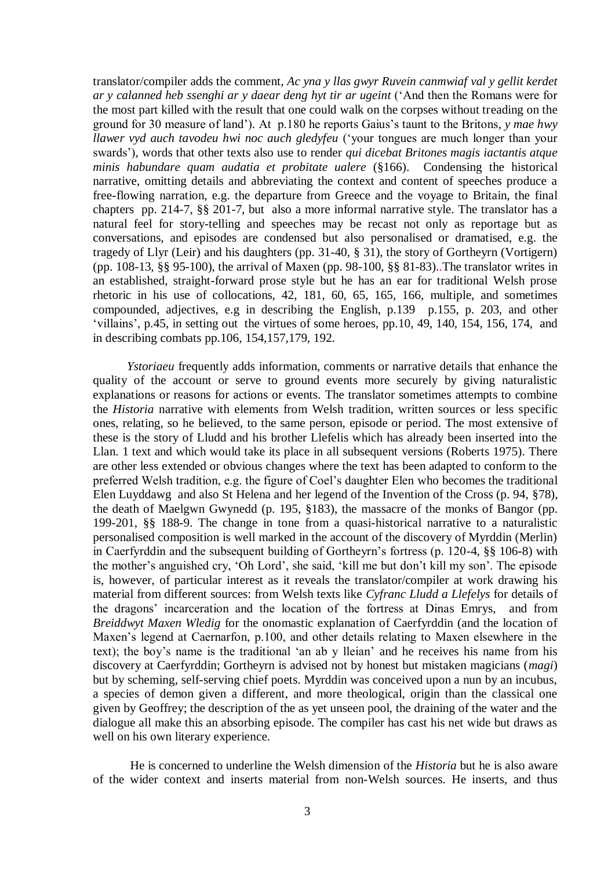translator/compiler adds the comment, *Ac yna y llas gwyr Ruvein canmwiaf val y gellit kerdet ar y calanned heb ssenghi ar y daear deng hyt tir ar ugeint* ("And then the Romans were for the most part killed with the result that one could walk on the corpses without treading on the ground for 30 measure of land")*.* At p.180 he reports Gaius"s taunt to the Britons, *y mae hwy llawer vyd auch tavodeu hwi noc auch gledyfeu* ("your tongues are much longer than your swards")*,* words that other texts also use to render *qui dicebat Britones magis iactantis atque minis habundare quam audatia et probitate ualere* (§166). Condensing the historical narrative, omitting details and abbreviating the context and content of speeches produce a free-flowing narration, e.g. the departure from Greece and the voyage to Britain, the final chapters pp. 214-7, §§ 201-7, but also a more informal narrative style. The translator has a natural feel for story-telling and speeches may be recast not only as reportage but as conversations, and episodes are condensed but also personalised or dramatised, e.g. the tragedy of Llyr (Leir) and his daughters (pp. 31-40, § 31), the story of Gortheyrn (Vortigern) (pp. 108-13, §§ 95-100), the arrival of Maxen (pp. 98-100, §§ 81-83)..The translator writes in an established, straight-forward prose style but he has an ear for traditional Welsh prose rhetoric in his use of collocations, 42, 181, 60, 65, 165, 166, multiple, and sometimes compounded, adjectives, e.g in describing the English, p.139 p.155, p. 203, and other "villains", p.45, in setting out the virtues of some heroes, pp.10, 49, 140, 154, 156, 174, and in describing combats pp.106, 154,157,179, 192.

 *Ystoriaeu* frequently adds information, comments or narrative details that enhance the quality of the account or serve to ground events more securely by giving naturalistic explanations or reasons for actions or events. The translator sometimes attempts to combine the *Historia* narrative with elements from Welsh tradition, written sources or less specific ones, relating, so he believed, to the same person, episode or period. The most extensive of these is the story of Lludd and his brother Llefelis which has already been inserted into the Llan. 1 text and which would take its place in all subsequent versions (Roberts 1975). There are other less extended or obvious changes where the text has been adapted to conform to the preferred Welsh tradition, e.g. the figure of Coel"s daughter Elen who becomes the traditional Elen Luyddawg and also St Helena and her legend of the Invention of the Cross (p. 94, §78), the death of Maelgwn Gwynedd (p. 195, §183), the massacre of the monks of Bangor (pp. 199-201, §§ 188-9. The change in tone from a quasi-historical narrative to a naturalistic personalised composition is well marked in the account of the discovery of Myrddin (Merlin) in Caerfyrddin and the subsequent building of Gortheyrn"s fortress (p. 120-4, §§ 106-8) with the mother"s anguished cry, "Oh Lord", she said, "kill me but don"t kill my son". The episode is, however, of particular interest as it reveals the translator/compiler at work drawing his material from different sources: from Welsh texts like *Cyfranc Lludd a Llefelys* for details of the dragons" incarceration and the location of the fortress at Dinas Emrys, and from *Breiddwyt Maxen Wledig* for the onomastic explanation of Caerfyrddin (and the location of Maxen"s legend at Caernarfon, p.100, and other details relating to Maxen elsewhere in the text); the boy"s name is the traditional "an ab y lleian" and he receives his name from his discovery at Caerfyrddin; Gortheyrn is advised not by honest but mistaken magicians (*magi*) but by scheming, self-serving chief poets. Myrddin was conceived upon a nun by an incubus, a species of demon given a different, and more theological, origin than the classical one given by Geoffrey; the description of the as yet unseen pool, the draining of the water and the dialogue all make this an absorbing episode. The compiler has cast his net wide but draws as well on his own literary experience.

He is concerned to underline the Welsh dimension of the *Historia* but he is also aware of the wider context and inserts material from non-Welsh sources. He inserts, and thus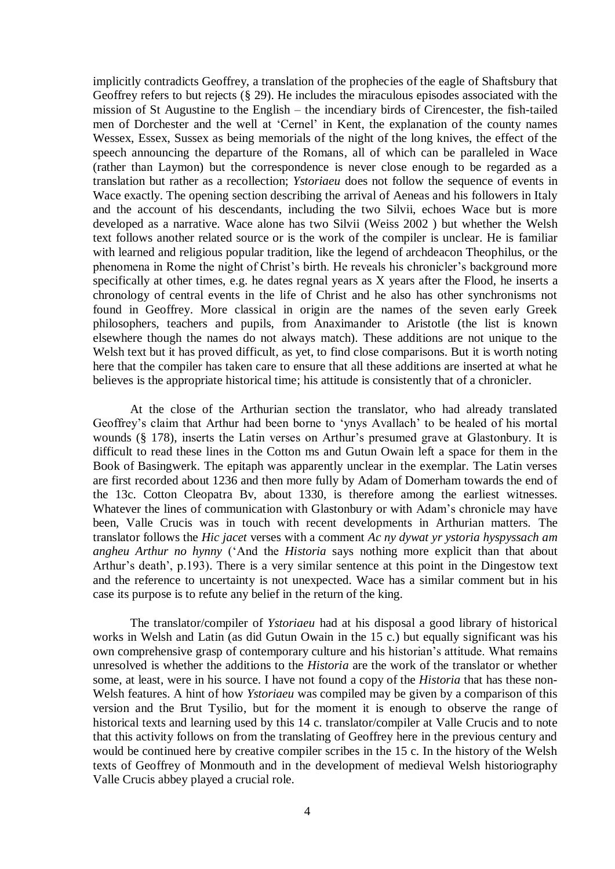implicitly contradicts Geoffrey, a translation of the prophecies of the eagle of Shaftsbury that Geoffrey refers to but rejects (§ 29). He includes the miraculous episodes associated with the mission of St Augustine to the English – the incendiary birds of Cirencester, the fish-tailed men of Dorchester and the well at "Cernel" in Kent, the explanation of the county names Wessex, Essex, Sussex as being memorials of the night of the long knives, the effect of the speech announcing the departure of the Romans, all of which can be paralleled in Wace (rather than Laymon) but the correspondence is never close enough to be regarded as a translation but rather as a recollection; *Ystoriaeu* does not follow the sequence of events in Wace exactly. The opening section describing the arrival of Aeneas and his followers in Italy and the account of his descendants, including the two Silvii, echoes Wace but is more developed as a narrative. Wace alone has two Silvii (Weiss 2002 ) but whether the Welsh text follows another related source or is the work of the compiler is unclear. He is familiar with learned and religious popular tradition, like the legend of archdeacon Theophilus, or the phenomena in Rome the night of Christ"s birth. He reveals his chronicler"s background more specifically at other times, e.g. he dates regnal years as X years after the Flood, he inserts a chronology of central events in the life of Christ and he also has other synchronisms not found in Geoffrey. More classical in origin are the names of the seven early Greek philosophers, teachers and pupils, from Anaximander to Aristotle (the list is known elsewhere though the names do not always match). These additions are not unique to the Welsh text but it has proved difficult, as yet, to find close comparisons. But it is worth noting here that the compiler has taken care to ensure that all these additions are inserted at what he believes is the appropriate historical time; his attitude is consistently that of a chronicler.

At the close of the Arthurian section the translator, who had already translated Geoffrey"s claim that Arthur had been borne to "ynys Avallach" to be healed of his mortal wounds (§ 178), inserts the Latin verses on Arthur's presumed grave at Glastonbury. It is difficult to read these lines in the Cotton ms and Gutun Owain left a space for them in the Book of Basingwerk. The epitaph was apparently unclear in the exemplar. The Latin verses are first recorded about 1236 and then more fully by Adam of Domerham towards the end of the 13c. Cotton Cleopatra Bv, about 1330, is therefore among the earliest witnesses. Whatever the lines of communication with Glastonbury or with Adam's chronicle may have been, Valle Crucis was in touch with recent developments in Arthurian matters. The translator follows the *Hic jacet* verses with a comment *Ac ny dywat yr ystoria hyspyssach am angheu Arthur no hynny* ("And the *Historia* says nothing more explicit than that about Arthur's death', p.193). There is a very similar sentence at this point in the Dingestow text and the reference to uncertainty is not unexpected. Wace has a similar comment but in his case its purpose is to refute any belief in the return of the king.

The translator/compiler of *Ystoriaeu* had at his disposal a good library of historical works in Welsh and Latin (as did Gutun Owain in the 15 c.) but equally significant was his own comprehensive grasp of contemporary culture and his historian"s attitude. What remains unresolved is whether the additions to the *Historia* are the work of the translator or whether some, at least, were in his source. I have not found a copy of the *Historia* that has these non-Welsh features. A hint of how *Ystoriaeu* was compiled may be given by a comparison of this version and the Brut Tysilio, but for the moment it is enough to observe the range of historical texts and learning used by this 14 c. translator/compiler at Valle Crucis and to note that this activity follows on from the translating of Geoffrey here in the previous century and would be continued here by creative compiler scribes in the 15 c. In the history of the Welsh texts of Geoffrey of Monmouth and in the development of medieval Welsh historiography Valle Crucis abbey played a crucial role.